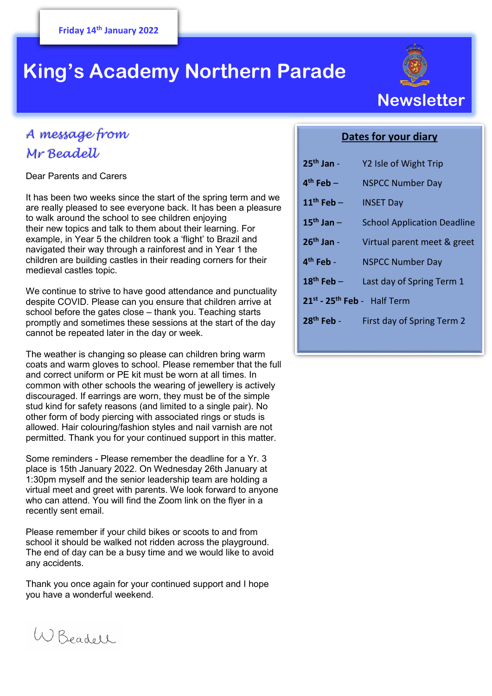# **King's Academy Northern Parade**

## *A message from Mr Beadell*

Dear Parents and Carers

It has been two weeks since the start of the spring term and we are really pleased to see everyone back. It has been a pleasure to walk around the school to see children enjoying their new topics and talk to them about their learning. For example, in Year 5 the children took a 'flight' to Brazil and navigated their way through a rainforest and in Year 1 the children are building castles in their reading corners for their medieval castles topic.

We continue to strive to have good attendance and punctuality despite COVID. Please can you ensure that children arrive at school before the gates close – thank you. Teaching starts promptly and sometimes these sessions at the start of the day cannot be repeated later in the day or week.

 and correct uniform or PE kit must be worn at all times. In The weather is changing so please can children bring warm coats and warm gloves to school. Please remember that the full common with other schools the wearing of jewellery is actively discouraged. If earrings are worn, they must be of the simple stud kind for safety reasons (and limited to a single pair). No other form of body piercing with associated rings or studs is allowed. Hair colouring/fashion styles and nail varnish are not permitted. Thank you for your continued support in this matter.

Some reminders - Please remember the deadline for a Yr. 3 place is 15th January 2022. On Wednesday 26th January at 1:30pm myself and the senior leadership team are holding a virtual meet and greet with parents. We look forward to anyone who can attend. You will find the Zoom link on the flyer in a recently sent email.

Please remember if your child bikes or scoots to and from school it should be walked not ridden across the playground. The end of day can be a busy time and we would like to avoid any accidents.

Thank you once again for your continued support and I hope you have a wonderful weekend.



### **Dates for your diary**

| $25th$ Jan -                            | Y2 Isle of Wight Trip              |
|-----------------------------------------|------------------------------------|
| $4th$ Feb –                             | <b>NSPCC Number Day</b>            |
| $11th$ Feb -                            | <b>INSET Day</b>                   |
| $15th$ Jan $-$                          | <b>School Application Deadline</b> |
| $26th$ Jan -                            | Virtual parent meet & greet        |
| $4th$ Feb -                             | <b>NSPCC Number Day</b>            |
| $18^{\text{th}}$ Feb -                  | Last day of Spring Term 1          |
| 21st - 25 <sup>th</sup> Feb - Half Term |                                    |
| $28th$ Feb -                            | First day of Spring Term 2         |
|                                         |                                    |

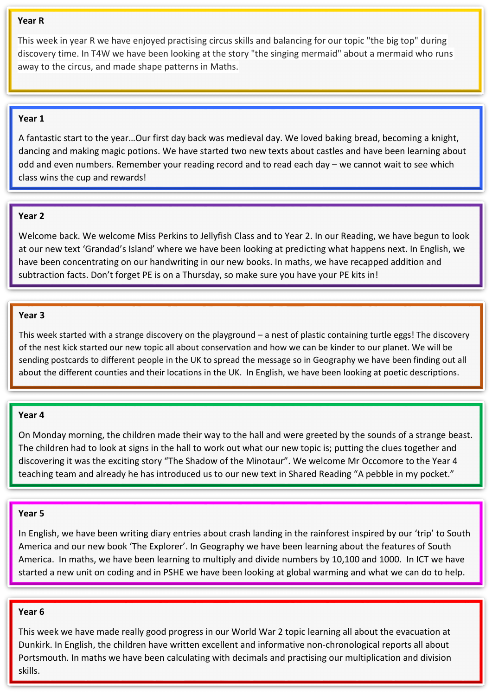#### **Year R**

This week in year R we have enjoyed practising circus skills and balancing for our topic "the big top" during discovery time. In T4W we have been looking at the story "the singing mermaid" about a mermaid who runs away to the circus, and made shape patterns in Maths.

#### **Year 1**

A fantastic start to the year…Our first day back was medieval day. We loved baking bread, becoming a knight, dancing and making magic potions. We have started two new texts about castles and have been learning about odd and even numbers. Remember your reading record and to read each day – we cannot wait to see which class wins the cup and rewards!

#### **Year 2**

Welcome back. We welcome Miss Perkins to Jellyfish Class and to Year 2. In our Reading, we have begun to look at our new text 'Grandad's Island' where we have been looking at predicting what happens next. In English, we have been concentrating on our handwriting in our new books. In maths, we have recapped addition and subtraction facts. Don't forget PE is on a Thursday, so make sure you have your PE kits in!

#### **Year 3**

This week started with a strange discovery on the playground – a nest of plastic containing turtle eggs! The discovery of the nest kick started our new topic all about conservation and how we can be kinder to our planet. We will be sending postcards to different people in the UK to spread the message so in Geography we have been finding out all about the different counties and their locations in the UK. In English, we have been looking at poetic descriptions.

#### **Year 4**

On Monday morning, the children made their way to the hall and were greeted by the sounds of a strange beast. The children had to look at signs in the hall to work out what our new topic is; putting the clues together and discovering it was the exciting story "The Shadow of the Minotaur". We welcome Mr Occomore to the Year 4 teaching team and already he has introduced us to our new text in Shared Reading "A pebble in my pocket."

#### **Year 5**

In English, we have been writing diary entries about crash landing in the rainforest inspired by our 'trip' to South America and our new book 'The Explorer'. In Geography we have been learning about the features of South America. In maths, we have been learning to multiply and divide numbers by 10,100 and 1000. In ICT we have started a new unit on coding and in PSHE we have been looking at global warming and what we can do to help.

#### **Year 6**

This week we have made really good progress in our World War 2 topic learning all about the evacuation at Dunkirk. In English, the children have written excellent and informative non-chronological reports all about Portsmouth. In maths we have been calculating with decimals and practising our multiplication and division skills.